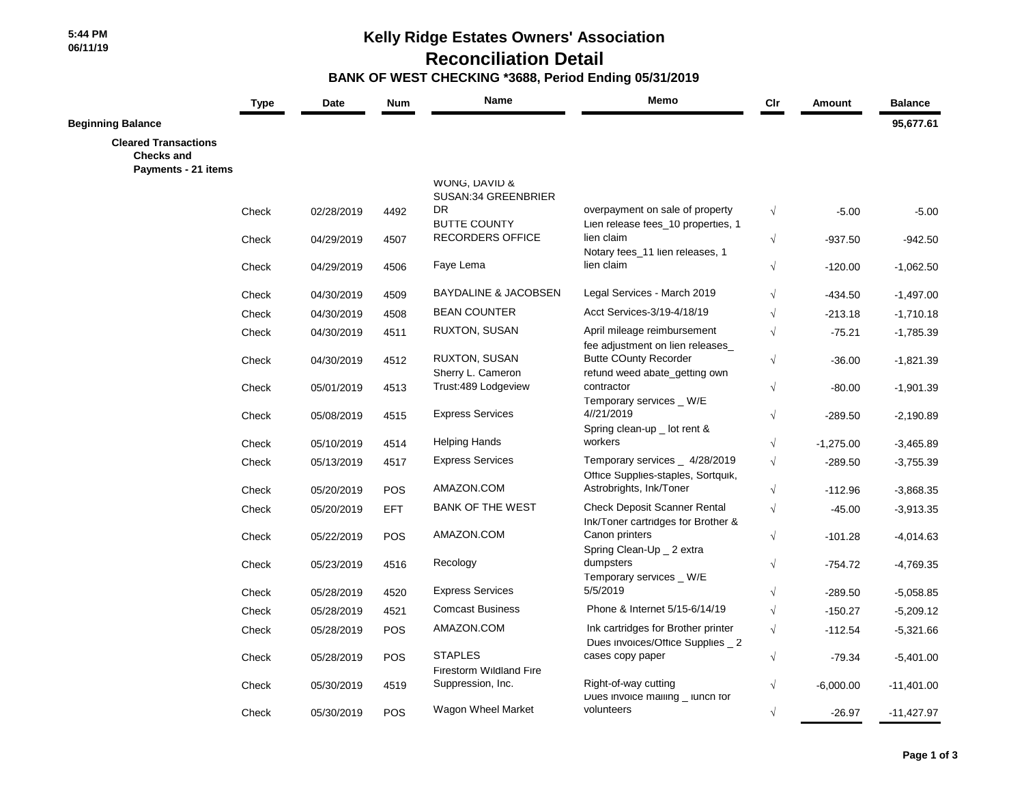**5:44 PM 06/11/19**  **Kelly Ridge Estates Owners' Association**

 **Reconciliation Detail**

 **BANK OF WEST CHECKING \*3688, Period Ending 05/31/2019**

|                                                                         | <b>Type</b> | Date       | <b>Num</b> | Name                                             | Memo                                                                      | Cir                  | Amount      | <b>Balance</b> |
|-------------------------------------------------------------------------|-------------|------------|------------|--------------------------------------------------|---------------------------------------------------------------------------|----------------------|-------------|----------------|
| <b>Beginning Balance</b>                                                |             |            |            |                                                  |                                                                           |                      |             | 95,677.61      |
| <b>Cleared Transactions</b><br><b>Checks and</b><br>Payments - 21 items |             |            |            |                                                  |                                                                           |                      |             |                |
|                                                                         |             |            |            | WONG, DAVID &<br>SUSAN:34 GREENBRIER             |                                                                           |                      |             |                |
|                                                                         | Check       | 02/28/2019 | 4492       | <b>DR</b><br><b>BUTTE COUNTY</b>                 | overpayment on sale of property<br>Lien release fees_10 properties, 1     | $\sqrt{ }$           | $-5.00$     | $-5.00$        |
|                                                                         | Check       | 04/29/2019 | 4507       | RECORDERS OFFICE                                 | lien claim<br>Notary fees_11 lien releases, 1                             | $\sqrt{ }$           | $-937.50$   | $-942.50$      |
|                                                                         | Check       | 04/29/2019 | 4506       | Faye Lema                                        | lien claim                                                                | $\sqrt{ }$           | $-120.00$   | $-1,062.50$    |
|                                                                         | Check       | 04/30/2019 | 4509       | <b>BAYDALINE &amp; JACOBSEN</b>                  | Legal Services - March 2019                                               | $\sqrt{}$            | $-434.50$   | $-1,497.00$    |
|                                                                         | Check       | 04/30/2019 | 4508       | <b>BEAN COUNTER</b>                              | Acct Services-3/19-4/18/19                                                | $\sqrt{\phantom{a}}$ | $-213.18$   | $-1,710.18$    |
|                                                                         | Check       | 04/30/2019 | 4511       | RUXTON, SUSAN                                    | April mileage reimbursement<br>fee adjustment on lien releases            | $\sqrt{ }$           | $-75.21$    | $-1,785.39$    |
|                                                                         | Check       | 04/30/2019 | 4512       | RUXTON, SUSAN<br>Sherry L. Cameron               | <b>Butte COunty Recorder</b><br>refund weed abate_getting own             | $\sqrt{ }$           | $-36.00$    | $-1,821.39$    |
|                                                                         | Check       | 05/01/2019 | 4513       | Trust:489 Lodgeview                              | contractor<br>Temporary services _ W/E                                    | $\sqrt{}$            | $-80.00$    | $-1,901.39$    |
|                                                                         | Check       | 05/08/2019 | 4515       | <b>Express Services</b>                          | 4//21/2019<br>Spring clean-up _ lot rent &                                | $\sqrt{}$            | $-289.50$   | $-2,190.89$    |
|                                                                         | Check       | 05/10/2019 | 4514       | <b>Helping Hands</b>                             | workers                                                                   | $\sqrt{}$            | $-1,275.00$ | $-3,465.89$    |
|                                                                         | Check       | 05/13/2019 | 4517       | <b>Express Services</b>                          | Temporary services _ 4/28/2019<br>Office Supplies-staples, Sortquik,      | $\sqrt{ }$           | $-289.50$   | $-3,755.39$    |
|                                                                         | Check       | 05/20/2019 | POS        | AMAZON.COM                                       | Astrobrights, Ink/Toner                                                   | $\sqrt{}$            | $-112.96$   | $-3,868.35$    |
|                                                                         | Check       | 05/20/2019 | <b>EFT</b> | <b>BANK OF THE WEST</b>                          | <b>Check Deposit Scanner Rental</b><br>Ink/Toner cartridges for Brother & | $\sqrt{}$            | $-45.00$    | $-3,913.35$    |
|                                                                         | Check       | 05/22/2019 | POS        | AMAZON.COM                                       | Canon printers<br>Spring Clean-Up _ 2 extra                               | $\sqrt{}$            | $-101.28$   | $-4,014.63$    |
|                                                                         | Check       | 05/23/2019 | 4516       | Recology                                         | dumpsters<br>Temporary services _ W/E                                     | $\sqrt{ }$           | $-754.72$   | $-4,769.35$    |
|                                                                         | Check       | 05/28/2019 | 4520       | <b>Express Services</b>                          | 5/5/2019                                                                  | $\sqrt{ }$           | $-289.50$   | $-5,058.85$    |
|                                                                         | Check       | 05/28/2019 | 4521       | <b>Comcast Business</b>                          | Phone & Internet 5/15-6/14/19                                             | $\sqrt{}$            | $-150.27$   | $-5,209.12$    |
|                                                                         | Check       | 05/28/2019 | POS        | AMAZON.COM                                       | Ink cartridges for Brother printer<br>Dues invoices/Office Supplies _ 2   | $\sqrt{}$            | $-112.54$   | $-5,321.66$    |
|                                                                         | Check       | 05/28/2019 | POS        | <b>STAPLES</b><br><b>Firestorm Wildland Fire</b> | cases copy paper                                                          | $\sqrt{ }$           | $-79.34$    | $-5,401.00$    |
|                                                                         | Check       | 05/30/2019 | 4519       | Suppression, Inc.                                | Right-of-way cutting<br>Dues invoice mailing _ lunch for                  | $\sqrt{ }$           | $-6,000.00$ | $-11,401.00$   |
|                                                                         | Check       | 05/30/2019 | POS        | Wagon Wheel Market                               | volunteers                                                                | $\sqrt{ }$           | $-26.97$    | $-11,427.97$   |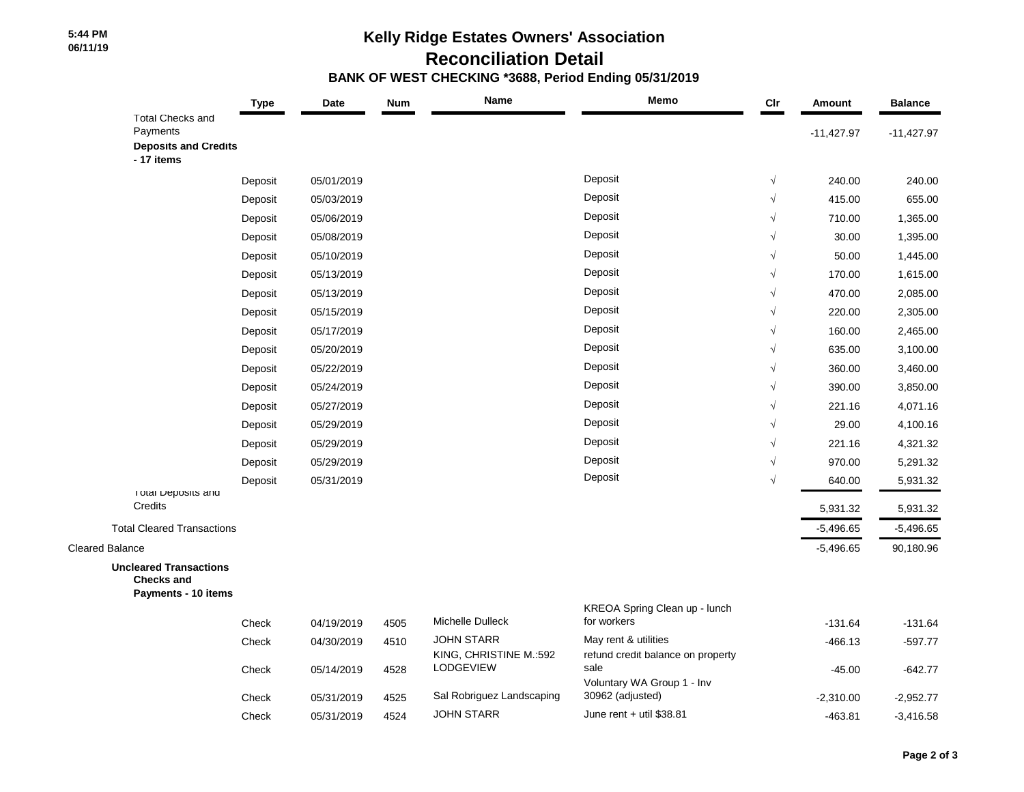## **5:44 PM 06/11/19**

## **Kelly Ridge Estates Owners' Association Reconciliation Detail BANK OF WEST CHECKING \*3688, Period Ending 05/31/2019**

|                                                                                  | <b>Type</b> | Date       | <b>Num</b> | Name                                        | Memo                                                      | $_{\text{Clr}}$ | Amount       | <b>Balance</b> |
|----------------------------------------------------------------------------------|-------------|------------|------------|---------------------------------------------|-----------------------------------------------------------|-----------------|--------------|----------------|
| <b>Total Checks and</b><br>Payments<br><b>Deposits and Credits</b><br>- 17 items |             |            |            |                                             |                                                           |                 | $-11,427.97$ | $-11,427.97$   |
|                                                                                  | Deposit     | 05/01/2019 |            |                                             | Deposit                                                   | $\sqrt{}$       | 240.00       | 240.00         |
|                                                                                  | Deposit     | 05/03/2019 |            |                                             | Deposit                                                   | $\sqrt{}$       | 415.00       | 655.00         |
|                                                                                  | Deposit     | 05/06/2019 |            |                                             | Deposit                                                   | $\sqrt{}$       | 710.00       | 1,365.00       |
|                                                                                  | Deposit     | 05/08/2019 |            |                                             | Deposit                                                   | $\sqrt{}$       | 30.00        | 1,395.00       |
|                                                                                  | Deposit     | 05/10/2019 |            |                                             | Deposit                                                   | $\sqrt{}$       | 50.00        | 1,445.00       |
|                                                                                  | Deposit     | 05/13/2019 |            |                                             | Deposit                                                   | $\sqrt{}$       | 170.00       | 1,615.00       |
|                                                                                  | Deposit     | 05/13/2019 |            |                                             | Deposit                                                   | $\sqrt{}$       | 470.00       | 2,085.00       |
|                                                                                  | Deposit     | 05/15/2019 |            |                                             | Deposit                                                   | $\sqrt{}$       | 220.00       | 2,305.00       |
|                                                                                  | Deposit     | 05/17/2019 |            |                                             | Deposit                                                   | $\sqrt{}$       | 160.00       | 2,465.00       |
|                                                                                  | Deposit     | 05/20/2019 |            |                                             | Deposit                                                   | $\sqrt{}$       | 635.00       | 3,100.00       |
|                                                                                  | Deposit     | 05/22/2019 |            |                                             | Deposit                                                   | $\sqrt{ }$      | 360.00       | 3,460.00       |
|                                                                                  | Deposit     | 05/24/2019 |            |                                             | Deposit                                                   | $\sqrt{}$       | 390.00       | 3,850.00       |
|                                                                                  | Deposit     | 05/27/2019 |            |                                             | Deposit                                                   | $\sqrt{}$       | 221.16       | 4,071.16       |
|                                                                                  | Deposit     | 05/29/2019 |            |                                             | Deposit                                                   | $\sqrt{}$       | 29.00        | 4,100.16       |
|                                                                                  | Deposit     | 05/29/2019 |            |                                             | Deposit                                                   | $\sqrt{ }$      | 221.16       | 4,321.32       |
|                                                                                  | Deposit     | 05/29/2019 |            |                                             | Deposit                                                   | $\sqrt{ }$      | 970.00       | 5,291.32       |
|                                                                                  | Deposit     | 05/31/2019 |            |                                             | Deposit                                                   | $\sqrt{ }$      | 640.00       | 5,931.32       |
| I otal Deposits and<br>Credits                                                   |             |            |            |                                             |                                                           |                 | 5,931.32     | 5,931.32       |
| <b>Total Cleared Transactions</b>                                                |             |            |            |                                             |                                                           |                 | $-5,496.65$  | $-5,496.65$    |
| <b>Cleared Balance</b>                                                           |             |            |            |                                             |                                                           |                 | $-5,496.65$  | 90,180.96      |
| <b>Uncleared Transactions</b><br><b>Checks and</b><br>Payments - 10 items        |             |            |            |                                             |                                                           |                 |              |                |
|                                                                                  |             |            |            |                                             | KREOA Spring Clean up - lunch                             |                 |              |                |
|                                                                                  | Check       | 04/19/2019 | 4505       | Michelle Dulleck                            | for workers                                               |                 | $-131.64$    | $-131.64$      |
|                                                                                  | Check       | 04/30/2019 | 4510       | <b>JOHN STARR</b><br>KING, CHRISTINE M.:592 | May rent & utilities<br>refund credit balance on property |                 | $-466.13$    | $-597.77$      |
|                                                                                  | Check       | 05/14/2019 | 4528       | LODGEVIEW                                   | sale<br>Voluntary WA Group 1 - Inv                        |                 | -45.00       | $-642.77$      |
|                                                                                  | Check       | 05/31/2019 | 4525       | Sal Robriguez Landscaping                   | 30962 (adjusted)                                          |                 | $-2,310.00$  | $-2,952.77$    |
|                                                                                  | Check       | 05/31/2019 | 4524       | <b>JOHN STARR</b>                           | June rent $+$ util \$38.81                                |                 | $-463.81$    | $-3,416.58$    |